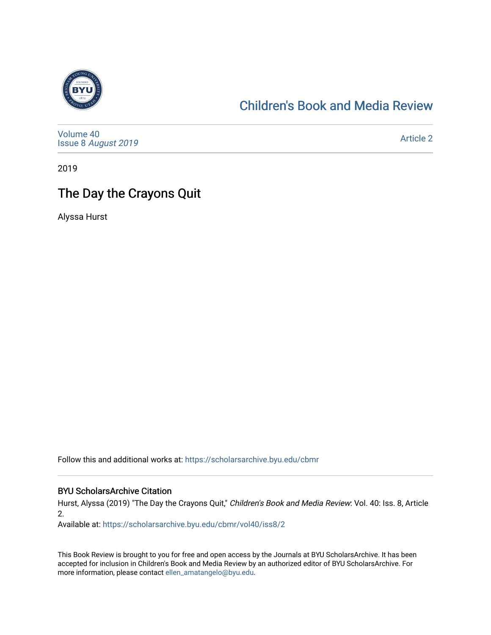

#### [Children's Book and Media Review](https://scholarsarchive.byu.edu/cbmr)

[Volume 40](https://scholarsarchive.byu.edu/cbmr/vol40) Issue 8 [August 2019](https://scholarsarchive.byu.edu/cbmr/vol40/iss8) 

[Article 2](https://scholarsarchive.byu.edu/cbmr/vol40/iss8/2) 

2019

### The Day the Crayons Quit

Alyssa Hurst

Follow this and additional works at: [https://scholarsarchive.byu.edu/cbmr](https://scholarsarchive.byu.edu/cbmr?utm_source=scholarsarchive.byu.edu%2Fcbmr%2Fvol40%2Fiss8%2F2&utm_medium=PDF&utm_campaign=PDFCoverPages) 

#### BYU ScholarsArchive Citation

Hurst, Alyssa (2019) "The Day the Crayons Quit," Children's Book and Media Review: Vol. 40: Iss. 8, Article 2.

Available at: [https://scholarsarchive.byu.edu/cbmr/vol40/iss8/2](https://scholarsarchive.byu.edu/cbmr/vol40/iss8/2?utm_source=scholarsarchive.byu.edu%2Fcbmr%2Fvol40%2Fiss8%2F2&utm_medium=PDF&utm_campaign=PDFCoverPages) 

This Book Review is brought to you for free and open access by the Journals at BYU ScholarsArchive. It has been accepted for inclusion in Children's Book and Media Review by an authorized editor of BYU ScholarsArchive. For more information, please contact [ellen\\_amatangelo@byu.edu.](mailto:ellen_amatangelo@byu.edu)